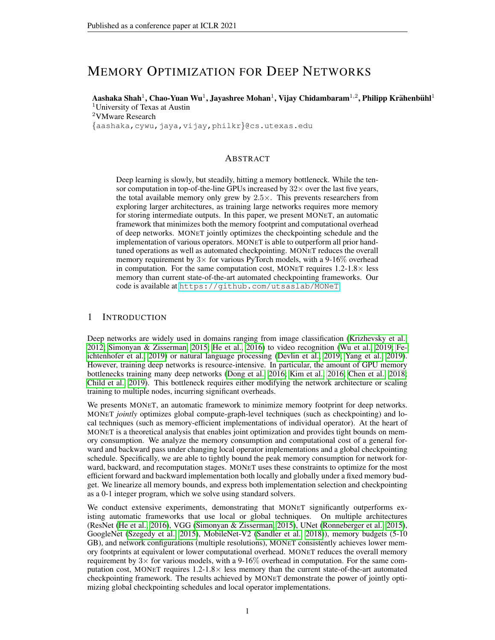# MEMORY OPTIMIZATION FOR DEEP NETWORKS

Aashaka Shah $^1$ , Chao-Yuan Wu $^1$ , Jayashree Mohan $^1$ , Vijay Chidambaram $^{1,2}$ , Philipp Krähenbühl $^1$ <sup>1</sup>University of Texas at Austin <sup>2</sup>VMware Research

{aashaka,cywu,jaya,vijay,philkr}@cs.utexas.edu

### ABSTRACT

Deep learning is slowly, but steadily, hitting a memory bottleneck. While the tensor computation in top-of-the-line GPUs increased by  $32\times$  over the last five years, the total available memory only grew by  $2.5\times$ . This prevents researchers from exploring larger architectures, as training large networks requires more memory for storing intermediate outputs. In this paper, we present MONET, an automatic framework that minimizes both the memory footprint and computational overhead of deep networks. MONET jointly optimizes the checkpointing schedule and the implementation of various operators. MONET is able to outperform all prior handtuned operations as well as automated checkpointing. MONET reduces the overall memory requirement by  $3\times$  for various PyTorch models, with a 9-16% overhead in computation. For the same computation cost, MONET requires  $1.2\n-1.8\times$  less memory than current state-of-the-art automated checkpointing frameworks. Our code is available at <https://github.com/utsaslab/MONeT>.

### 1 INTRODUCTION

Deep networks are widely used in domains ranging from image classification [\(Krizhevsky et al.,](#page-10-0) [2012;](#page-10-0) [Simonyan & Zisserman, 2015;](#page-10-1) [He et al., 2016\)](#page-9-0) to video recognition [\(Wu et al., 2019;](#page-10-2) [Fe](#page-9-1)[ichtenhofer et al., 2019\)](#page-9-1) or natural language processing [\(Devlin et al., 2019;](#page-9-2) [Yang et al., 2019\)](#page-10-3). However, training deep networks is resource-intensive. In particular, the amount of GPU memory bottlenecks training many deep networks [\(Dong et al., 2016;](#page-9-3) [Kim et al., 2016;](#page-10-4) [Chen et al., 2018;](#page-9-4) [Child et al., 2019\)](#page-9-5). This bottleneck requires either modifying the network architecture or scaling training to multiple nodes, incurring significant overheads.

We presents MONET, an automatic framework to minimize memory footprint for deep networks. MONET *jointly* optimizes global compute-graph-level techniques (such as checkpointing) and local techniques (such as memory-efficient implementations of individual operator). At the heart of MONET is a theoretical analysis that enables joint optimization and provides tight bounds on memory consumption. We analyze the memory consumption and computational cost of a general forward and backward pass under changing local operator implementations and a global checkpointing schedule. Specifically, we are able to tightly bound the peak memory consumption for network forward, backward, and recomputation stages. MONET uses these constraints to optimize for the most efficient forward and backward implementation both locally and globally under a fixed memory budget. We linearize all memory bounds, and express both implementation selection and checkpointing as a 0-1 integer program, which we solve using standard solvers.

We conduct extensive experiments, demonstrating that MONET significantly outperforms existing automatic frameworks that use local or global techniques. On multiple architectures (ResNet [\(He et al., 2016\)](#page-9-0), VGG [\(Simonyan & Zisserman, 2015\)](#page-10-1), UNet [\(Ronneberger et al., 2015\)](#page-10-5), GoogleNet [\(Szegedy et al., 2015\)](#page-10-6), MobileNet-V2 [\(Sandler et al., 2018\)](#page-10-7)), memory budgets (5-10 GB), and network configurations (multiple resolutions), MONET consistently achieves lower memory footprints at equivalent or lower computational overhead. MONET reduces the overall memory requirement by  $3\times$  for various models, with a 9-16% overhead in computation. For the same computation cost, MONET requires 1.2-1.8× less memory than the current state-of-the-art automated checkpointing framework. The results achieved by MONET demonstrate the power of jointly optimizing global checkpointing schedules and local operator implementations.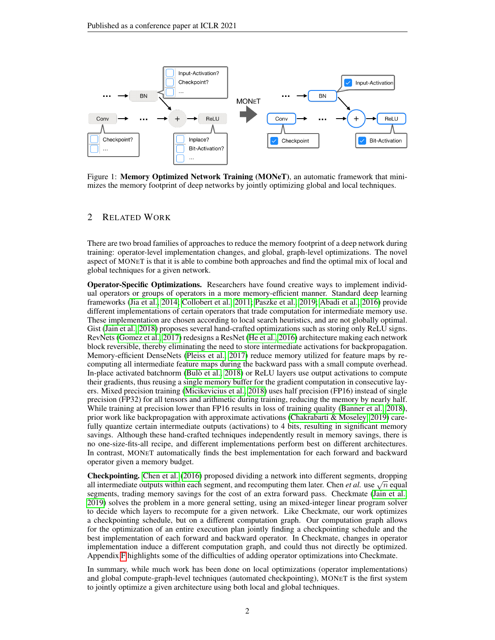

Figure 1: Memory Optimized Network Training (MONeT), an automatic framework that minimizes the memory footprint of deep networks by jointly optimizing global and local techniques.

# 2 RELATED WORK

There are two broad families of approaches to reduce the memory footprint of a deep network during training: operator-level implementation changes, and global, graph-level optimizations. The novel aspect of MONET is that it is able to combine both approaches and find the optimal mix of local and global techniques for a given network.

Operator-Specific Optimizations. Researchers have found creative ways to implement individual operators or groups of operators in a more memory-efficient manner. Standard deep learning frameworks [\(Jia et al., 2014;](#page-10-8) [Collobert et al., 2011;](#page-9-6) [Paszke et al., 2019;](#page-10-9) [Abadi et al., 2016\)](#page-9-7) provide different implementations of certain operators that trade computation for intermediate memory use. These implementation are chosen according to local search heuristics, and are not globally optimal. Gist [\(Jain et al., 2018\)](#page-9-8) proposes several hand-crafted optimizations such as storing only ReLU signs. RevNets [\(Gomez et al., 2017\)](#page-9-9) redesigns a ResNet [\(He et al., 2016\)](#page-9-0) architecture making each network block reversible, thereby eliminating the need to store intermediate activations for backpropagation. Memory-efficient DenseNets [\(Pleiss et al., 2017\)](#page-10-10) reduce memory utilized for feature maps by recomputing all intermediate feature maps during the backward pass with a small compute overhead. In-place activated batchnorm [\(Bulo et al., 2018\)](#page-9-10) or ReLU layers use output activations to compute ` their gradients, thus reusing a single memory buffer for the gradient computation in consecutive layers. Mixed precision training [\(Micikevicius et al., 2018\)](#page-10-11) uses half precision (FP16) instead of single precision (FP32) for all tensors and arithmetic during training, reducing the memory by nearly half. While training at precision lower than FP16 results in loss of training quality [\(Banner et al., 2018\)](#page-9-11), prior work like backpropagation with approximate activations [\(Chakrabarti & Moseley, 2019\)](#page-9-12) carefully quantize certain intermediate outputs (activations) to 4 bits, resulting in significant memory savings. Although these hand-crafted techniques independently result in memory savings, there is no one-size-fits-all recipe, and different implementations perform best on different architectures. In contrast, MONET automatically finds the best implementation for each forward and backward operator given a memory budget.

Checkpointing. [Chen et al.](#page-9-13) [\(2016\)](#page-9-13) proposed dividing a network into different segments, dropping **Checkpointing.** Chen et al. (2016) proposed dividing a network into different segments, dropping all intermediate outputs within each segment, and recomputing them later. Chen *et al.* use  $\sqrt{n}$  equal segments, trading memory savings for the cost of an extra forward pass. Checkmate [\(Jain et al.,](#page-9-14) [2019\)](#page-9-14) solves the problem in a more general setting, using an mixed-integer linear program solver to decide which layers to recompute for a given network. Like Checkmate, our work optimizes a checkpointing schedule, but on a different computation graph. Our computation graph allows for the optimization of an entire execution plan jointly finding a checkpointing schedule and the best implementation of each forward and backward operator. In Checkmate, changes in operator implementation induce a different computation graph, and could thus not directly be optimized. Appendix [F](#page-14-0) highlights some of the difficulties of adding operator optimizations into Checkmate.

In summary, while much work has been done on local optimizations (operator implementations) and global compute-graph-level techniques (automated checkpointing), MONET is the first system to jointly optimize a given architecture using both local and global techniques.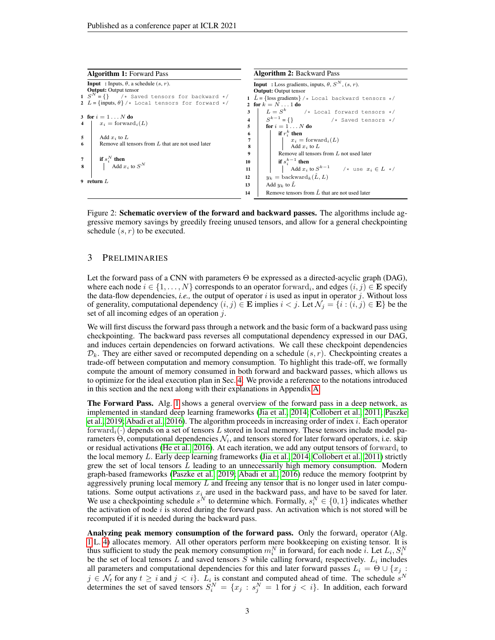<span id="page-2-1"></span>

|   | <b>Algorithm 1: Forward Pass</b>                                                                                |                                                                            | <b>Algorithm 2: Backward Pass</b>                                    |  |  |  |  |  |
|---|-----------------------------------------------------------------------------------------------------------------|----------------------------------------------------------------------------|----------------------------------------------------------------------|--|--|--|--|--|
|   | <b>Input</b> : Inputs, $\theta$ , a schedule $(s, r)$ .                                                         |                                                                            | <b>Input</b> : Loss gradients, inputs, $\theta$ , $S^N$ , $(s, r)$ . |  |  |  |  |  |
|   | <b>Output:</b> Output tensor                                                                                    |                                                                            | <b>Output:</b> Output tensor                                         |  |  |  |  |  |
|   | 1 $S^N = \{\}$ /* Saved tensors for backward */                                                                 | 1 $\hat{L} = \{\text{loss gradients}\}\/*\text{Local backward tensors }*/$ |                                                                      |  |  |  |  |  |
|   | 2 $L = \{\text{inputs}, \theta\} / \star$ Local tensors for forward $\star$ /                                   | 2 for $k = N1$ do                                                          |                                                                      |  |  |  |  |  |
|   |                                                                                                                 | $\mathbf{3}$                                                               | $L = S^k$ /* Local forward tensors */                                |  |  |  |  |  |
|   | 3 for $i = 1N$ do<br>$x_i = \text{forward}_i(L)$                                                                | $\overline{\mathbf{4}}$                                                    | $S^{k-1} = \{\}$ /* Saved tensors */                                 |  |  |  |  |  |
|   |                                                                                                                 | 5                                                                          | for $i = 1 \ldots N$ do                                              |  |  |  |  |  |
| 5 | Add $x_i$ to L                                                                                                  | 6                                                                          | if $r_i^k$ then                                                      |  |  |  |  |  |
|   |                                                                                                                 | 7<br>$x_i = \text{forward}_i(L)$                                           |                                                                      |  |  |  |  |  |
| 6 | Remove all tensors from $L$ that are not used later                                                             | 8                                                                          | Add $x_i$ to $L$                                                     |  |  |  |  |  |
|   |                                                                                                                 | 9                                                                          | Remove all tensors from $L$ not used later                           |  |  |  |  |  |
|   | <b>if</b> $s_i^N$ <b>then</b><br>$\left  \begin{array}{c} A \text{dd } x_i \text{ to } S^N \end{array} \right.$ | 10                                                                         | if $s_i^{k-1}$ then                                                  |  |  |  |  |  |
| 8 |                                                                                                                 | 11                                                                         | Add $x_i$ to $S^{k-1}$ /* use $x_i \in L$ */                         |  |  |  |  |  |
|   |                                                                                                                 |                                                                            | $y_k = \text{backward}_k(\hat{L}, L)$                                |  |  |  |  |  |
|   | 9 return $L$                                                                                                    | 13                                                                         | Add $y_k$ to $\ddot{L}$                                              |  |  |  |  |  |
|   |                                                                                                                 | 14                                                                         | Remove tensors from $\hat{L}$ that are not used later                |  |  |  |  |  |

<span id="page-2-4"></span><span id="page-2-3"></span><span id="page-2-2"></span><span id="page-2-0"></span>Figure 2: Schematic overview of the forward and backward passes. The algorithms include aggressive memory savings by greedily freeing unused tensors, and allow for a general checkpointing schedule  $(s, r)$  to be executed.

### <span id="page-2-5"></span>3 PRELIMINARIES

Let the forward pass of a CNN with parameters Θ be expressed as a directed-acyclic graph (DAG), where each node  $i \in \{1, ..., N\}$  corresponds to an operator forward<sub>i</sub>, and edges  $(i, j) \in \mathbf{E}$  specify the data-flow dependencies, *i.e.*, the output of operator  $i$  is used as input in operator  $j$ . Without loss of generality, computational dependency  $(i, j) \in \mathbf{E}$  implies  $i < j$ . Let  $\mathcal{N}_j = \{i : (i, j) \in \mathbf{E}\}$  be the set of all incoming edges of an operation j.

We will first discuss the forward pass through a network and the basic form of a backward pass using checkpointing. The backward pass reverses all computational dependency expressed in our DAG, and induces certain dependencies on forward activations. We call these checkpoint dependencies  $\mathcal{D}_k$ . They are either saved or recomputed depending on a schedule  $(s, r)$ . Checkpointing creates a trade-off between computation and memory consumption. To highlight this trade-off, we formally compute the amount of memory consumed in both forward and backward passes, which allows us to optimize for the ideal execution plan in Sec. [4.](#page-3-0) We provide a reference to the notations introduced in this section and the next along with their explanations in Appendix [A.](#page-11-0)

The Forward Pass. Alg. [1](#page-2-0) shows a general overview of the forward pass in a deep network, as implemented in standard deep learning frameworks [\(Jia et al., 2014;](#page-10-8) [Collobert et al., 2011;](#page-9-6) [Paszke](#page-10-9) [et al., 2019;](#page-10-9) [Abadi et al., 2016\)](#page-9-7). The algorithm proceeds in increasing order of index i. Each operator forward<sub>i</sub>( $\cdot$ ) depends on a set of tensors L stored in local memory. These tensors include model parameters  $\Theta$ , computational dependencies  $\mathcal{N}_i$ , and tensors stored for later forward operators, i.e. skip or residual activations [\(He et al., 2016\)](#page-9-0). At each iteration, we add any output tensors of forwar $\mathrm{d}_i$  to the local memory L. Early deep learning frameworks [\(Jia et al., 2014;](#page-10-8) [Collobert et al., 2011\)](#page-9-6) strictly grew the set of local tensors L leading to an unnecessarily high memory consumption. Modern graph-based frameworks [\(Paszke et al., 2019;](#page-10-9) [Abadi et al., 2016\)](#page-9-7) reduce the memory footprint by aggressively pruning local memory  $L$  and freeing any tensor that is no longer used in later computations. Some output activations  $x_i$  are used in the backward pass, and have to be saved for later. We use a checkpointing schedule  $s^N$  to determine which. Formally,  $s_i^N \in \{0, 1\}$  indicates whether the activation of node  $i$  is stored during the forward pass. An activation which is not stored will be recomputed if it is needed during the backward pass.

Analyzing peak memory consumption of the forward pass. Only the forward, operator (Alg. [1](#page-2-0) L. [4\)](#page-2-1) allocates memory. All other operators perform mere bookkeeping on existing tensor. It is thus sufficient to study the peak memory consumption  $m_i^N$  in forward, for each node i. Let  $L_i$ ,  $S_i^N$ be the set of local tensors L and saved tensors S while calling forward, respectively.  $L_i$  includes all parameters and computational dependencies for this and later forward passes  $L_i = \Theta \cup \{x_j :$  $j \in \mathcal{N}_t$  for any  $t \geq i$  and  $j < i$ .  $L_i$  is constant and computed ahead of time. The schedule  $s^N$ determines the set of saved tensors  $S_i^N = \{x_j : s_j^N = 1 \text{ for } j < i\}$ . In addition, each forward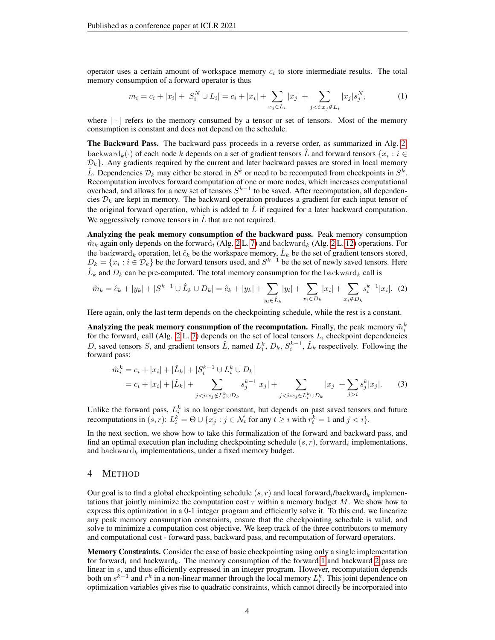operator uses a certain amount of workspace memory  $c_i$  to store intermediate results. The total memory consumption of a forward operator is thus

<span id="page-3-1"></span>
$$
m_i = c_i + |x_i| + |S_i^N \cup L_i| = c_i + |x_i| + \sum_{x_j \in L_i} |x_j| + \sum_{j < i: x_j \notin L_i} |x_j| s_j^N,\tag{1}
$$

where  $\lvert \cdot \rvert$  refers to the memory consumed by a tensor or set of tensors. Most of the memory consumption is constant and does not depend on the schedule.

The Backward Pass. The backward pass proceeds in a reverse order, as summarized in Alg. [2.](#page-2-2) backward $_k(\cdot)$  of each node k depends on a set of gradient tensors  $\hat{L}$  and forward tensors  $\{x_i : i \in$  $\mathcal{D}_k$ . Any gradients required by the current and later backward passes are stored in local memory  $\hat{L}$ . Dependencies  $\mathcal{D}_k$  may either be stored in  $S^k$  or need to be recomputed from checkpoints in  $S^k$ . Recomputation involves forward computation of one or more nodes, which increases computational overhead, and allows for a new set of tensors  $S^{k-1}$  to be saved. After recomputation, all dependencies  $\mathcal{D}_k$  are kept in memory. The backward operation produces a gradient for each input tensor of the original forward operation, which is added to  $\hat{L}$  if required for a later backward computation. We aggressively remove tensors in  $\hat{L}$  that are not required.

Analyzing the peak memory consumption of the backward pass. Peak memory consumption  $\hat{m}_k$  again only depends on the forward<sub>i</sub> (Alg. [2](#page-2-2) L. [7\)](#page-2-3) and backward<sub>k</sub> (Alg. 2 L. [12\)](#page-2-4) operations. For the backward<sub>k</sub> operation, let  $\hat{c}_k$  be the workspace memory,  $\hat{L}_k$  be the set of gradient tensors stored,  $D_k = \{x_i : i \in \mathcal{D}_k\}$  be the forward tensors used, and  $S^{k-1}$  be the set of newly saved tensors. Here  $\hat{L}_k$  and  $D_k$  can be pre-computed. The total memory consumption for the backward<sub>k</sub> call is

<span id="page-3-2"></span>
$$
\hat{m}_k = \hat{c}_k + |y_k| + |S^{k-1} \cup \hat{L}_k \cup D_k| = \hat{c}_k + |y_k| + \sum_{y_l \in \hat{L}_k} |y_l| + \sum_{x_i \in D_k} |x_i| + \sum_{x_i \notin D_k} s_i^{k-1} |x_i|.
$$
 (2)

Here again, only the last term depends on the checkpointing schedule, while the rest is a constant.

Analyzing the peak memory consumption of the recomputation. Finally, the peak memory  $\tilde{m}_i^k$ for the forward<sub>i</sub> call (Alg. [2](#page-2-2) L. [7\)](#page-2-3) depends on the set of local tensors L, checkpoint dependencies D, saved tensors S, and gradient tensors  $\hat{L}$ , named  $L_i^k$ ,  $D_k$ ,  $S_i^{k-1}$ ,  $\hat{L}_k$  respectively. Following the forward pass:

<span id="page-3-3"></span>
$$
\tilde{m}_i^k = c_i + |x_i| + |\hat{L}_k| + |S_i^{k-1} \cup L_i^k \cup D_k|
$$
  
=  $c_i + |x_i| + |\hat{L}_k| + \sum_{j < i: x_j \notin L_i^k \cup D_k} s_j^{k-1} |x_j| + \sum_{j < i: x_j \in L_i^k \cup D_k} |x_j| + \sum_{j > i} s_j^k |x_j|.$  (3)

Unlike the forward pass,  $L_i^k$  is no longer constant, but depends on past saved tensors and future recomputations in  $(s, r)$ :  $L_i^k = \Theta \cup \{x_j : j \in \mathcal{N}_t \text{ for any } t \geq i \text{ with } r_t^k = 1 \text{ and } j < i\}.$ 

In the next section, we show how to take this formalization of the forward and backward pass, and find an optimal execution plan including checkpointing schedule  $(s, r)$ , forward, implementations, and backward<sub>k</sub> implementations, under a fixed memory budget.

#### <span id="page-3-0"></span>4 METHOD

Our goal is to find a global checkpointing schedule  $(s, r)$  and local forward<sub>i</sub>/backward<sub>k</sub> implementations that jointly minimize the computation cost  $\tau$  within a memory budget M. We show how to express this optimization in a 0-1 integer program and efficiently solve it. To this end, we linearize any peak memory consumption constraints, ensure that the checkpointing schedule is valid, and solve to minimize a computation cost objective. We keep track of the three contributors to memory and computational cost - forward pass, backward pass, and recomputation of forward operators.

Memory Constraints. Consider the case of basic checkpointing using only a single implementation for forward<sub>i</sub> and backward<sub>k</sub>. The memory consumption of the forward [1](#page-3-1) and backward [2](#page-3-2) pass are linear in s, and thus efficiently expressed in an integer program. However, recomputation depends both on  $s^{k-1}$  and  $r^k$  in a non-linear manner through the local memory  $L_i^k$ . This joint dependence on optimization variables gives rise to quadratic constraints, which cannot directly be incorporated into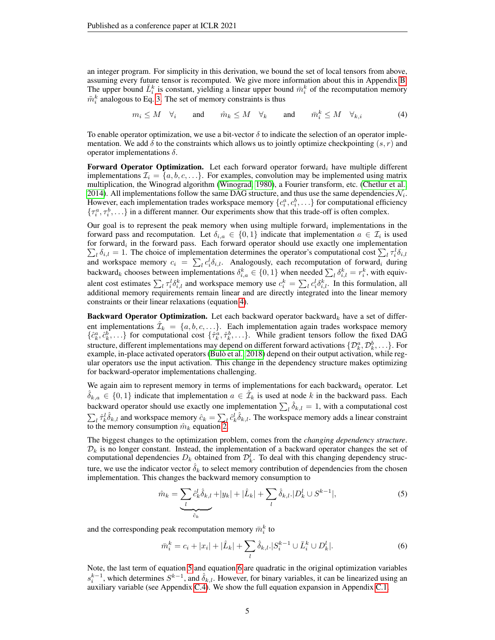an integer program. For simplicity in this derivation, we bound the set of local tensors from above, assuming every future tensor is recomputed. We give more information about this in Appendix [B.](#page-11-1) The upper bound  $\bar{L}_i^k$  is constant, yielding a linear upper bound  $\bar{m}_i^k$  of the recomputation memory  $\tilde{m}_i^k$  analogous to Eq. [3.](#page-3-3) The set of memory constraints is thus

$$
m_i \leq M \quad \forall_i \quad \text{and} \quad \hat{m}_k \leq M \quad \forall_k \quad \text{and} \quad \bar{m}_i^k \leq M \quad \forall_{k,i} \tag{4}
$$

<span id="page-4-0"></span>To enable operator optimization, we use a bit-vector  $\delta$  to indicate the selection of an operator implementation. We add  $\delta$  to the constraints which allows us to jointly optimize checkpointing  $(s, r)$  and operator implementations  $δ$ .

Forward Operator Optimization. Let each forward operator forward, have multiple different implementations  $\mathcal{I}_i = \{a, b, c, \ldots\}$ . For examples, convolution may be implemented using matrix multiplication, the Winograd algorithm [\(Winograd, 1980\)](#page-10-12), a Fourier transform, etc. [\(Chetlur et al.,](#page-9-15) [2014\)](#page-9-15). All implementations follow the same DAG structure, and thus use the same dependencies  $\mathcal{N}_i$ . However, each implementation trades workspace memory  $\{c_i^a, c_i^b, \ldots\}$  for computational efficiency  $\{\tau_i^a, \tau_i^b, \ldots\}$  in a different manner. Our experiments show that this trade-off is often complex.

Our goal is to represent the peak memory when using multiple forward, implementations in the forward pass and recomputation. Let  $\delta_{i,a} \in \{0,1\}$  indicate that implementation  $a \in \mathcal{I}_i$  is used for forward<sub>i</sub> in the forward pass. Each forward operator should use exactly one implementation  $\sum_l \delta_{i,l} = 1$ . The choice of implementation determines the operator's computational cost  $\sum_l \tau_i^l \delta_{i,l}$ and workspace memory  $c_i = \sum_l c_i^l \delta_{i,l}$ . Analogously, each recomputation of forward<sub>i</sub> during backward<sub>k</sub> chooses between implementations  $\delta_{i,a}^k \in \{0,1\}$  when needed  $\sum_l \delta_{i,l}^k = r_i^k$ , with equivalent cost estimates  $\sum_l \tau_i^l \delta_{i,l}^k$  and workspace memory use  $c_i^k = \sum_l c_i^l \delta_{i,l}^k$ . In this formulation, all additional memory requirements remain linear and are directly integrated into the linear memory constraints or their linear relaxations (equation [4\)](#page-4-0).

Backward Operator Optimization. Let each backward operator backward<sub>k</sub> have a set of different implementations  $\hat{\mathcal{I}}_k = \{a, b, c, \ldots\}$ . Each implementation again trades workspace memory  $\{\hat{c}_k^a, \hat{c}_k^b, ...\}$  for computational cost  $\{\hat{\tau}_k^a, \hat{\tau}_k^b, ...\}$ . While gradient tensors follow the fixed DAG structure, different implementations may depend on different forward activations  $\{\mathcal{D}_k^a,\mathcal{D}_k^b,\ldots\}.$  For example, in-place activated operators (Bulò et al., 2018) depend on their output activation, while regular operators use the input activation. This change in the dependency structure makes optimizing for backward-operator implementations challenging.

We again aim to represent memory in terms of implementations for each backward<sub>k</sub> operator. Let  $\hat{\delta}_{k,a} \in \{0,1\}$  indicate that implementation  $a \in \mathcal{I}_k$  is used at node k in the backward pass. Each backward operator should use exactly one implementation  $\sum_l \hat{\delta}_{k,l} = 1$ , with a computational cost  $\sum_l \hat{\tau}_k^l \hat{\delta}_{k,l}$  and workspace memory  $\hat{c}_k = \sum_l \hat{c}_k^l \hat{\delta}_{k,l}$ . The workspace memory adds a linear constraint to the memory consumption  $\hat{m}_k$  equation [2.](#page-3-2)

The biggest changes to the optimization problem, comes from the *changing dependency structure*.  $\mathcal{D}_k$  is no longer constant. Instead, the implementation of a backward operator changes the set of computational dependencies  $D_k$  obtained from  $\mathcal{D}_k^l$ . To deal with this changing dependency structure, we use the indicator vector  $\hat{\delta}_k$  to select memory contribution of dependencies from the chosen implementation. This changes the backward memory consumption to

<span id="page-4-1"></span>
$$
\hat{m}_k = \underbrace{\sum_{l} \hat{c}_k^l \hat{\delta}_{k,l}}_{\hat{c}_k} + |y_k| + |\hat{L}_k| + \sum_{l} \hat{\delta}_{k,l} \cdot |D_k^l \cup S^{k-1}|,\tag{5}
$$

and the corresponding peak recomputation memory  $\bar{m}_i^k$  to

<span id="page-4-2"></span>
$$
\bar{m}_i^k = c_i + |x_i| + |\hat{L}_k| + \sum_l \hat{\delta}_{k,l} |S_i^{k-1} \cup \bar{L}_i^k \cup D_k^l|.
$$
 (6)

Note, the last term of equation [5](#page-4-1) and equation [6](#page-4-2) are quadratic in the original optimization variables  $s_i^{k-1}$ , which determines  $S^{k-1}$ , and  $\hat{\delta}_{k,l}$ . However, for binary variables, it can be linearized using an auxiliary variable (see Appendix [C.4\)](#page-13-0). We show the full equation expansion in Appendix [C.1.](#page-12-0)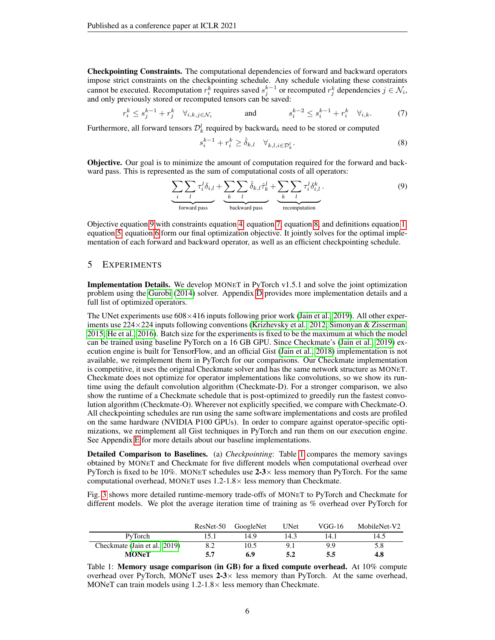Checkpointing Constraints. The computational dependencies of forward and backward operators impose strict constraints on the checkpointing schedule. Any schedule violating these constraints cannot be executed. Recomputation  $r_i^k$  requires saved  $s_j^{k-1}$  or recomputed  $r_j^k$  dependencies  $j \in \mathcal{N}_i$ , and only previously stored or recomputed tensors can be saved:

<span id="page-5-1"></span>
$$
r_i^k \le s_j^{k-1} + r_j^k \quad \forall_{i,k,j \in \mathcal{N}_i} \qquad \qquad \text{and} \qquad \qquad s_i^{k-2} \le s_i^{k-1} + r_i^k \quad \forall_{i,k}. \tag{7}
$$

Furthermore, all forward tensors  $\mathcal{D}_k^l$  required by backward $_k$  need to be stored or computed

<span id="page-5-2"></span>
$$
s_i^{k-1} + r_i^k \ge \hat{\delta}_{k,l} \quad \forall_{k,l,i \in \mathcal{D}_k^l}.
$$
\n
$$
(8)
$$

Objective. Our goal is to minimize the amount of computation required for the forward and backward pass. This is represented as the sum of computational costs of all operators:

<span id="page-5-0"></span>
$$
\underbrace{\sum_{i} \sum_{l} \tau_i^l \delta_{i,l}}_{\text{forward pass}} + \underbrace{\sum_{k} \sum_{l} \hat{\delta}_{k,l} \hat{\tau}_k^l}_{\text{backward pass}} + \underbrace{\sum_{k} \sum_{l} \tau_i^l \delta_{i,l}^k}_{\text{recomputation}}.
$$
 (9)

Objective equation [9](#page-5-0) with constraints equation [4,](#page-4-0) equation [7,](#page-5-1) equation [8,](#page-5-2) and definitions equation [1,](#page-3-1) equation [5,](#page-4-1) equation [6](#page-4-2) form our final optimization objective. It jointly solves for the optimal implementation of each forward and backward operator, as well as an efficient checkpointing schedule.

### <span id="page-5-4"></span>5 EXPERIMENTS

Implementation Details. We develop MONET in PyTorch v1.5.1 and solve the joint optimization problem using the [Gurobi](#page-9-16) [\(2014\)](#page-9-16) solver. Appendix [D](#page-13-1) provides more implementation details and a full list of optimized operators.

The UNet experiments use  $608\times416$  inputs following prior work [\(Jain et al., 2019\)](#page-9-14). All other exper-iments use 224×224 inputs following conventions [\(Krizhevsky et al., 2012;](#page-10-0) [Simonyan & Zisserman,](#page-10-1) [2015;](#page-10-1) [He et al., 2016\)](#page-9-0). Batch size for the experiments is fixed to be the maximum at which the model can be trained using baseline PyTorch on a 16 GB GPU. Since Checkmate's [\(Jain et al., 2019\)](#page-9-14) execution engine is built for TensorFlow, and an official Gist [\(Jain et al., 2018\)](#page-9-8) implementation is not available, we reimplement them in PyTorch for our comparisons. Our Checkmate implementation is competitive, it uses the original Checkmate solver and has the same network structure as MONET. Checkmate does not optimize for operator implementations like convolutions, so we show its runtime using the default convolution algorithm (Checkmate-D). For a stronger comparison, we also show the runtime of a Checkmate schedule that is post-optimized to greedily run the fastest convolution algorithm (Checkmate-O). Wherever not explicitly specified, we compare with Checkmate-O. All checkpointing schedules are run using the same software implementations and costs are profiled on the same hardware (NVIDIA P100 GPUs). In order to compare against operator-specific optimizations, we reimplement all Gist techniques in PyTorch and run them on our execution engine. See Appendix [E](#page-14-1) for more details about our baseline implementations.

Detailed Comparison to Baselines. (a) *Checkpointing*: Table [1](#page-5-3) compares the memory savings obtained by MONET and Checkmate for five different models when computational overhead over PyTorch is fixed to be 10%. MONET schedules use  $2-3\times$  less memory than PyTorch. For the same computational overhead, MONET uses  $1.2\n-1.8\times$  less memory than Checkmate.

Fig. [3](#page-6-0) shows more detailed runtime-memory trade-offs of MONET to PyTorch and Checkmate for different models. We plot the average iteration time of training as % overhead over PyTorch for

<span id="page-5-3"></span>

|                               | ResNet-50 | GoogleNet | <b>UNet</b> | VGG-16 | MobileNet-V2 |
|-------------------------------|-----------|-----------|-------------|--------|--------------|
| PyTorch                       |           | 149       | 14.3        | 14.1   | 14.5         |
| Checkmate (Jain et al., 2019) |           | 10.5      |             | 99     | 5.8          |
| <b>MONeT</b>                  | 5.7       | 6.9       | 5.2         | 5.5    | 4.8          |

Table 1: Memory usage comparison (in GB) for a fixed compute overhead. At 10% compute overhead over PyTorch, MONeT uses  $2-3 \times$  less memory than PyTorch. At the same overhead, MONeT can train models using  $1.2\n-1.8\times$  less memory than Checkmate.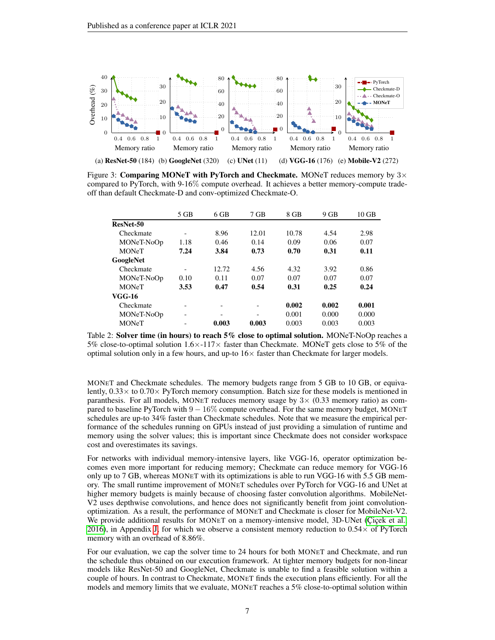<span id="page-6-0"></span>

Figure 3: Comparing MONeT with PyTorch and Checkmate. MONeT reduces memory by  $3\times$ compared to PyTorch, with 9-16% compute overhead. It achieves a better memory-compute tradeoff than default Checkmate-D and conv-optimized Checkmate-O.

<span id="page-6-1"></span>

|              | $5$ GB                   | $6$ GB                   | $7$ GB         | 8 GB  | $9$ GB | $10$ GB |
|--------------|--------------------------|--------------------------|----------------|-------|--------|---------|
| ResNet-50    |                          |                          |                |       |        |         |
| Checkmate    | $\overline{\phantom{a}}$ | 8.96                     | 12.01          | 10.78 | 4.54   | 2.98    |
| MONeT-NoOp   | 1.18                     | 0.46                     | 0.14           | 0.09  | 0.06   | 0.07    |
| <b>MONeT</b> | 7.24                     | 3.84                     | 0.73           | 0.70  | 0.31   | 0.11    |
| GoogleNet    |                          |                          |                |       |        |         |
| Checkmate    | $\overline{\phantom{a}}$ | 12.72                    | 4.56           | 4.32  | 3.92   | 0.86    |
| MONeT-NoOp   | 0.10                     | 0.11                     | 0.07           | 0.07  | 0.07   | 0.07    |
| <b>MONeT</b> | 3.53                     | 0.47                     | 0.54           | 0.31  | 0.25   | 0.24    |
| VGG-16       |                          |                          |                |       |        |         |
| Checkmate    | -                        | $\overline{\phantom{a}}$ | $\overline{a}$ | 0.002 | 0.002  | 0.001   |
| MONeT-NoOp   | ۰                        | -                        | -              | 0.001 | 0.000  | 0.000   |
| <b>MONeT</b> |                          | 0.003                    | 0.003          | 0.003 | 0.003  | 0.003   |

Table 2: Solver time (in hours) to reach 5% close to optimal solution. MONeT-NoOp reaches a 5% close-to-optimal solution  $1.6 \times -117 \times$  faster than Checkmate. MONeT gets close to 5% of the optimal solution only in a few hours, and up-to  $16\times$  faster than Checkmate for larger models.

MONET and Checkmate schedules. The memory budgets range from 5 GB to 10 GB, or equivalently,  $0.33 \times$  to  $0.70 \times$  PyTorch memory consumption. Batch size for these models is mentioned in paranthesis. For all models, MONET reduces memory usage by  $3 \times (0.33$  memory ratio) as compared to baseline PyTorch with  $9 - 16\%$  compute overhead. For the same memory budget, MONET schedules are up-to 34% faster than Checkmate schedules. Note that we measure the empirical performance of the schedules running on GPUs instead of just providing a simulation of runtime and memory using the solver values; this is important since Checkmate does not consider workspace cost and overestimates its savings.

For networks with individual memory-intensive layers, like VGG-16, operator optimization becomes even more important for reducing memory; Checkmate can reduce memory for VGG-16 only up to 7 GB, whereas MONET with its optimizations is able to run VGG-16 with 5.5 GB memory. The small runtime improvement of MONET schedules over PyTorch for VGG-16 and UNet at higher memory budgets is mainly because of choosing faster convolution algorithms. MobileNet-V2 uses depthwise convolutions, and hence does not significantly benefit from joint convolutionoptimization. As a result, the performance of MONET and Checkmate is closer for MobileNet-V2. We provide additional results for MONET on a memory-intensive model, 3D-UNet (Cicek et al., [2016\)](#page-9-17), in Appendix [J,](#page-17-0) for which we observe a consistent memory reduction to  $0.54 \times$  of PyTorch memory with an overhead of 8.86%.

For our evaluation, we cap the solver time to 24 hours for both MONET and Checkmate, and run the schedule thus obtained on our execution framework. At tighter memory budgets for non-linear models like ResNet-50 and GoogleNet, Checkmate is unable to find a feasible solution within a couple of hours. In contrast to Checkmate, MONET finds the execution plans efficiently. For all the models and memory limits that we evaluate, MONET reaches a 5% close-to-optimal solution within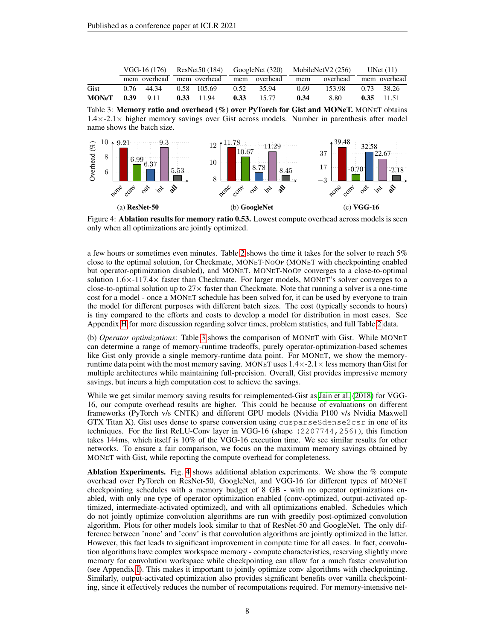<span id="page-7-0"></span>

|                 |  |            |  |              |  |                                        | $VGG-16(176)$ ResNet50(184) GoogleNet (320) MobileNetV2 (256) UNet (11) |                           |  |              |
|-----------------|--|------------|--|--------------|--|----------------------------------------|-------------------------------------------------------------------------|---------------------------|--|--------------|
|                 |  |            |  |              |  | mem overhead mem overhead mem overhead |                                                                         | mem overhead mem overhead |  |              |
| Gist            |  | 0.76 44.34 |  | 0.58 105.69  |  | 0.52 35.94                             | 0.69                                                                    | 153.98                    |  | 0.73 38.26   |
| MONeT 0.39 9.11 |  |            |  | $0.33$ 11.94 |  | $0.33$ 15.77                           | 0.34                                                                    | 8.80                      |  | $0.35$ 11.51 |

Table 3: Memory ratio and overhead (%) over PyTorch for Gist and MONeT. MONET obtains 1.4×-2.1× higher memory savings over Gist across models. Number in parenthesis after model name shows the batch size.

<span id="page-7-1"></span>

Figure 4: **Ablation results for memory ratio 0.53.** Lowest compute overhead across models is seen only when all optimizations are jointly optimized.

a few hours or sometimes even minutes. Table [2](#page-6-1) shows the time it takes for the solver to reach 5% close to the optimal solution, for Checkmate, MONET-NOOP (MONET with checkpointing enabled but operator-optimization disabled), and MONET. MONET-NOOP converges to a close-to-optimal solution  $1.6 \times 117.4 \times$  faster than Checkmate. For larger models, MONET's solver converges to a close-to-optimal solution up to  $27 \times$  faster than Checkmate. Note that running a solver is a one-time cost for a model - once a MONET schedule has been solved for, it can be used by everyone to train the model for different purposes with different batch sizes. The cost (typically seconds to hours) is tiny compared to the efforts and costs to develop a model for distribution in most cases. See Appendix [H](#page-15-0) for more discussion regarding solver times, problem statistics, and full Table [2](#page-6-1) data.

(b) *Operator optimizations*: Table [3](#page-7-0) shows the comparison of MONET with Gist. While MONET can determine a range of memory-runtime tradeoffs, purely operator-optimization-based schemes like Gist only provide a single memory-runtime data point. For MONET, we show the memoryruntime data point with the most memory saving. MONET uses  $1.4 \times -2.1 \times$  less memory than Gist for multiple architectures while maintaining full-precision. Overall, Gist provides impressive memory savings, but incurs a high computation cost to achieve the savings.

While we get similar memory saving results for reimplemented-Gist as [Jain et al.](#page-9-8) [\(2018\)](#page-9-8) for VGG-16, our compute overhead results are higher. This could be because of evaluations on different frameworks (PyTorch v/s CNTK) and different GPU models (Nvidia P100 v/s Nvidia Maxwell GTX Titan X). Gist uses dense to sparse conversion using cusparseSdense2csr in one of its techniques. For the first ReLU-Conv layer in VGG-16 (shape (2207744,256)), this function takes 144ms, which itself is 10% of the VGG-16 execution time. We see similar results for other networks. To ensure a fair comparison, we focus on the maximum memory savings obtained by MONET with Gist, while reporting the compute overhead for completeness.

**Ablation Experiments.** Fig. [4](#page-7-1) shows additional ablation experiments. We show the  $\%$  compute overhead over PyTorch on ResNet-50, GoogleNet, and VGG-16 for different types of MONET checkpointing schedules with a memory budget of 8 GB - with no operator optimizations enabled, with only one type of operator optimization enabled (conv-optimized, output-activated optimized, intermediate-activated optimized), and with all optimizations enabled. Schedules which do not jointly optimize convolution algorithms are run with greedily post-optimized convolution algorithm. Plots for other models look similar to that of ResNet-50 and GoogleNet. The only difference between 'none' and 'conv' is that convolution algorithms are jointly optimized in the latter. However, this fact leads to significant improvement in compute time for all cases. In fact, convolution algorithms have complex workspace memory - compute characteristics, reserving slightly more memory for convolution workspace while checkpointing can allow for a much faster convolution (see Appendix [I\)](#page-17-1). This makes it important to jointly optimize conv algorithms with checkpointing. Similarly, output-activated optimization also provides significant benefits over vanilla checkpointing, since it effectively reduces the number of recomputations required. For memory-intensive net-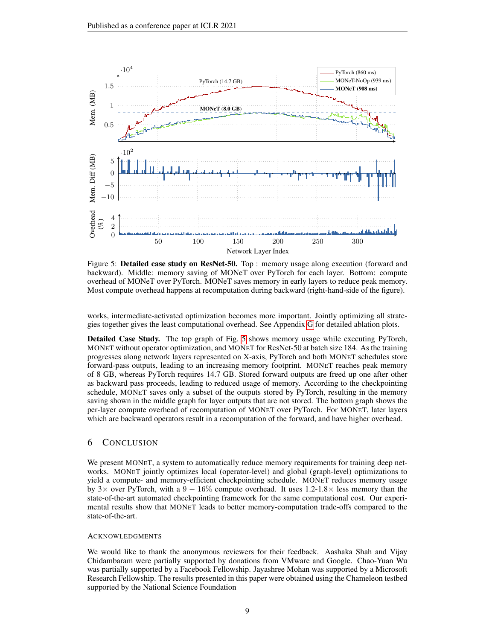<span id="page-8-0"></span>

Figure 5: Detailed case study on ResNet-50. Top : memory usage along execution (forward and backward). Middle: memory saving of MONeT over PyTorch for each layer. Bottom: compute overhead of MONeT over PyTorch. MONeT saves memory in early layers to reduce peak memory. Most compute overhead happens at recomputation during backward (right-hand-side of the figure).

works, intermediate-activated optimization becomes more important. Jointly optimizing all strategies together gives the least computational overhead. See Appendix [G](#page-15-1) for detailed ablation plots.

Detailed Case Study. The top graph of Fig. [5](#page-8-0) shows memory usage while executing PyTorch, MONET without operator optimization, and MONET for ResNet-50 at batch size 184. As the training progresses along network layers represented on X-axis, PyTorch and both MONET schedules store forward-pass outputs, leading to an increasing memory footprint. MONET reaches peak memory of 8 GB, whereas PyTorch requires 14.7 GB. Stored forward outputs are freed up one after other as backward pass proceeds, leading to reduced usage of memory. According to the checkpointing schedule, MONET saves only a subset of the outputs stored by PyTorch, resulting in the memory saving shown in the middle graph for layer outputs that are not stored. The bottom graph shows the per-layer compute overhead of recomputation of MONET over PyTorch. For MONET, later layers which are backward operators result in a recomputation of the forward, and have higher overhead.

## 6 CONCLUSION

We present MONET, a system to automatically reduce memory requirements for training deep networks. MONET jointly optimizes local (operator-level) and global (graph-level) optimizations to yield a compute- and memory-efficient checkpointing schedule. MONET reduces memory usage by 3× over PyTorch, with a  $9 - 16\%$  compute overhead. It uses 1.2-1.8× less memory than the state-of-the-art automated checkpointing framework for the same computational cost. Our experimental results show that MONET leads to better memory-computation trade-offs compared to the state-of-the-art.

#### **ACKNOWLEDGMENTS**

We would like to thank the anonymous reviewers for their feedback. Aashaka Shah and Vijay Chidambaram were partially supported by donations from VMware and Google. Chao-Yuan Wu was partially supported by a Facebook Fellowship. Jayashree Mohan was supported by a Microsoft Research Fellowship. The results presented in this paper were obtained using the Chameleon testbed supported by the National Science Foundation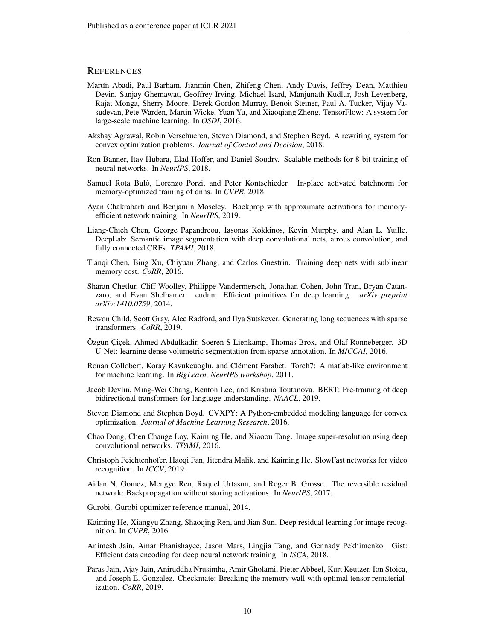### **REFERENCES**

- <span id="page-9-7"></span>Martín Abadi, Paul Barham, Jianmin Chen, Zhifeng Chen, Andy Davis, Jeffrey Dean, Matthieu Devin, Sanjay Ghemawat, Geoffrey Irving, Michael Isard, Manjunath Kudlur, Josh Levenberg, Rajat Monga, Sherry Moore, Derek Gordon Murray, Benoit Steiner, Paul A. Tucker, Vijay Vasudevan, Pete Warden, Martin Wicke, Yuan Yu, and Xiaoqiang Zheng. TensorFlow: A system for large-scale machine learning. In *OSDI*, 2016.
- <span id="page-9-19"></span>Akshay Agrawal, Robin Verschueren, Steven Diamond, and Stephen Boyd. A rewriting system for convex optimization problems. *Journal of Control and Decision*, 2018.
- <span id="page-9-11"></span>Ron Banner, Itay Hubara, Elad Hoffer, and Daniel Soudry. Scalable methods for 8-bit training of neural networks. In *NeurIPS*, 2018.
- <span id="page-9-10"></span>Samuel Rota Bulo, Lorenzo Porzi, and Peter Kontschieder. In-place activated batchnorm for ` memory-optimized training of dnns. In *CVPR*, 2018.
- <span id="page-9-12"></span>Ayan Chakrabarti and Benjamin Moseley. Backprop with approximate activations for memoryefficient network training. In *NeurIPS*, 2019.
- <span id="page-9-4"></span>Liang-Chieh Chen, George Papandreou, Iasonas Kokkinos, Kevin Murphy, and Alan L. Yuille. DeepLab: Semantic image segmentation with deep convolutional nets, atrous convolution, and fully connected CRFs. *TPAMI*, 2018.
- <span id="page-9-13"></span>Tianqi Chen, Bing Xu, Chiyuan Zhang, and Carlos Guestrin. Training deep nets with sublinear memory cost. *CoRR*, 2016.
- <span id="page-9-15"></span>Sharan Chetlur, Cliff Woolley, Philippe Vandermersch, Jonathan Cohen, John Tran, Bryan Catanzaro, and Evan Shelhamer. cudnn: Efficient primitives for deep learning. *arXiv preprint arXiv:1410.0759*, 2014.
- <span id="page-9-5"></span>Rewon Child, Scott Gray, Alec Radford, and Ilya Sutskever. Generating long sequences with sparse transformers. *CoRR*, 2019.
- <span id="page-9-17"></span>Özgün Çiçek, Ahmed Abdulkadir, Soeren S Lienkamp, Thomas Brox, and Olaf Ronneberger. 3D U-Net: learning dense volumetric segmentation from sparse annotation. In *MICCAI*, 2016.
- <span id="page-9-6"></span>Ronan Collobert, Koray Kavukcuoglu, and Clément Farabet. Torch7: A matlab-like environment for machine learning. In *BigLearn, NeurIPS workshop*, 2011.
- <span id="page-9-2"></span>Jacob Devlin, Ming-Wei Chang, Kenton Lee, and Kristina Toutanova. BERT: Pre-training of deep bidirectional transformers for language understanding. *NAACL*, 2019.
- <span id="page-9-18"></span>Steven Diamond and Stephen Boyd. CVXPY: A Python-embedded modeling language for convex optimization. *Journal of Machine Learning Research*, 2016.
- <span id="page-9-3"></span>Chao Dong, Chen Change Loy, Kaiming He, and Xiaoou Tang. Image super-resolution using deep convolutional networks. *TPAMI*, 2016.
- <span id="page-9-1"></span>Christoph Feichtenhofer, Haoqi Fan, Jitendra Malik, and Kaiming He. SlowFast networks for video recognition. In *ICCV*, 2019.
- <span id="page-9-9"></span>Aidan N. Gomez, Mengye Ren, Raquel Urtasun, and Roger B. Grosse. The reversible residual network: Backpropagation without storing activations. In *NeurIPS*, 2017.
- <span id="page-9-16"></span>Gurobi. Gurobi optimizer reference manual, 2014.
- <span id="page-9-0"></span>Kaiming He, Xiangyu Zhang, Shaoqing Ren, and Jian Sun. Deep residual learning for image recognition. In *CVPR*, 2016.
- <span id="page-9-8"></span>Animesh Jain, Amar Phanishayee, Jason Mars, Lingjia Tang, and Gennady Pekhimenko. Gist: Efficient data encoding for deep neural network training. In *ISCA*, 2018.
- <span id="page-9-14"></span>Paras Jain, Ajay Jain, Aniruddha Nrusimha, Amir Gholami, Pieter Abbeel, Kurt Keutzer, Ion Stoica, and Joseph E. Gonzalez. Checkmate: Breaking the memory wall with optimal tensor rematerialization. *CoRR*, 2019.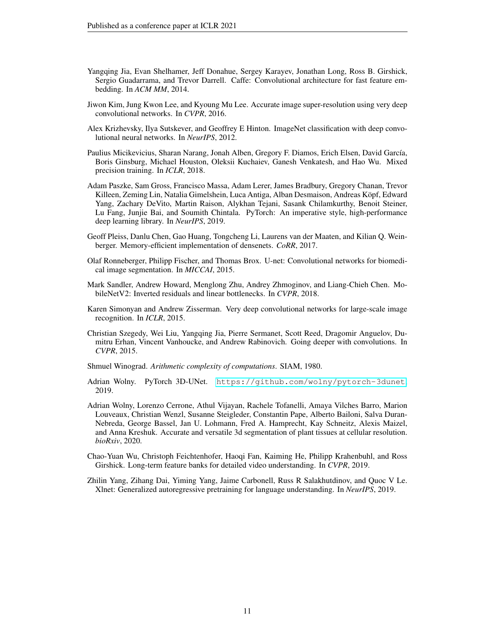- <span id="page-10-8"></span>Yangqing Jia, Evan Shelhamer, Jeff Donahue, Sergey Karayev, Jonathan Long, Ross B. Girshick, Sergio Guadarrama, and Trevor Darrell. Caffe: Convolutional architecture for fast feature embedding. In *ACM MM*, 2014.
- <span id="page-10-4"></span>Jiwon Kim, Jung Kwon Lee, and Kyoung Mu Lee. Accurate image super-resolution using very deep convolutional networks. In *CVPR*, 2016.
- <span id="page-10-0"></span>Alex Krizhevsky, Ilya Sutskever, and Geoffrey E Hinton. ImageNet classification with deep convolutional neural networks. In *NeurIPS*, 2012.
- <span id="page-10-11"></span>Paulius Micikevicius, Sharan Narang, Jonah Alben, Gregory F. Diamos, Erich Elsen, David García, Boris Ginsburg, Michael Houston, Oleksii Kuchaiev, Ganesh Venkatesh, and Hao Wu. Mixed precision training. In *ICLR*, 2018.
- <span id="page-10-9"></span>Adam Paszke, Sam Gross, Francisco Massa, Adam Lerer, James Bradbury, Gregory Chanan, Trevor Killeen, Zeming Lin, Natalia Gimelshein, Luca Antiga, Alban Desmaison, Andreas Köpf, Edward Yang, Zachary DeVito, Martin Raison, Alykhan Tejani, Sasank Chilamkurthy, Benoit Steiner, Lu Fang, Junjie Bai, and Soumith Chintala. PyTorch: An imperative style, high-performance deep learning library. In *NeurIPS*, 2019.
- <span id="page-10-10"></span>Geoff Pleiss, Danlu Chen, Gao Huang, Tongcheng Li, Laurens van der Maaten, and Kilian Q. Weinberger. Memory-efficient implementation of densenets. *CoRR*, 2017.
- <span id="page-10-5"></span>Olaf Ronneberger, Philipp Fischer, and Thomas Brox. U-net: Convolutional networks for biomedical image segmentation. In *MICCAI*, 2015.
- <span id="page-10-7"></span>Mark Sandler, Andrew Howard, Menglong Zhu, Andrey Zhmoginov, and Liang-Chieh Chen. MobileNetV2: Inverted residuals and linear bottlenecks. In *CVPR*, 2018.
- <span id="page-10-1"></span>Karen Simonyan and Andrew Zisserman. Very deep convolutional networks for large-scale image recognition. In *ICLR*, 2015.
- <span id="page-10-6"></span>Christian Szegedy, Wei Liu, Yangqing Jia, Pierre Sermanet, Scott Reed, Dragomir Anguelov, Dumitru Erhan, Vincent Vanhoucke, and Andrew Rabinovich. Going deeper with convolutions. In *CVPR*, 2015.
- <span id="page-10-12"></span>Shmuel Winograd. *Arithmetic complexity of computations*. SIAM, 1980.
- <span id="page-10-13"></span>Adrian Wolny. PyTorch 3D-UNet. <https://github.com/wolny/pytorch-3dunet>, 2019.
- <span id="page-10-14"></span>Adrian Wolny, Lorenzo Cerrone, Athul Vijayan, Rachele Tofanelli, Amaya Vilches Barro, Marion Louveaux, Christian Wenzl, Susanne Steigleder, Constantin Pape, Alberto Bailoni, Salva Duran-Nebreda, George Bassel, Jan U. Lohmann, Fred A. Hamprecht, Kay Schneitz, Alexis Maizel, and Anna Kreshuk. Accurate and versatile 3d segmentation of plant tissues at cellular resolution. *bioRxiv*, 2020.
- <span id="page-10-2"></span>Chao-Yuan Wu, Christoph Feichtenhofer, Haoqi Fan, Kaiming He, Philipp Krahenbuhl, and Ross Girshick. Long-term feature banks for detailed video understanding. In *CVPR*, 2019.
- <span id="page-10-3"></span>Zhilin Yang, Zihang Dai, Yiming Yang, Jaime Carbonell, Russ R Salakhutdinov, and Quoc V Le. Xlnet: Generalized autoregressive pretraining for language understanding. In *NeurIPS*, 2019.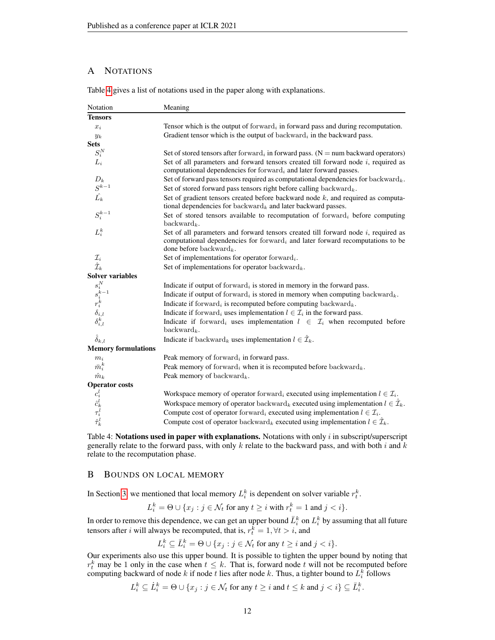# <span id="page-11-0"></span>A NOTATIONS

<span id="page-11-2"></span>

| Notation                                                                               | Meaning                                                                                                                                                                                                        |
|----------------------------------------------------------------------------------------|----------------------------------------------------------------------------------------------------------------------------------------------------------------------------------------------------------------|
| <b>Tensors</b>                                                                         |                                                                                                                                                                                                                |
| $x_i$                                                                                  | Tensor which is the output of forward <sub>i</sub> in forward pass and during recomputation.                                                                                                                   |
| $y_k$                                                                                  | Gradient tensor which is the output of backward, in the backward pass.                                                                                                                                         |
| <b>Sets</b>                                                                            |                                                                                                                                                                                                                |
| $S_i^N$                                                                                | Set of stored tensors after forward, in forward pass. ( $N =$ num backward operators)                                                                                                                          |
| $L_i$                                                                                  | Set of all parameters and forward tensors created till forward node $i$ , required as<br>computational dependencies for forward <sub>i</sub> and later forward passes.                                         |
| $\frac{D_k}{S^{k-1}}$                                                                  | Set of forward pass tensors required as computational dependencies for backward <sub>k</sub> .                                                                                                                 |
|                                                                                        | Set of stored forward pass tensors right before calling backward $_k$ .                                                                                                                                        |
| $\hat{L_k}$                                                                            | Set of gradient tensors created before backward node $k$ , and required as computa-<br>tional dependencies for backward <sub>k</sub> and later backward passes.                                                |
| ${\cal S}_i^{k-1}$                                                                     | Set of stored tensors available to recomputation of forward <sub>i</sub> before computing<br>$\text{backward}_k$ .                                                                                             |
| $L_i^k$                                                                                | Set of all parameters and forward tensors created till forward node $i$ , required as<br>computational dependencies for forward, and later forward recomputations to be<br>done before backward <sub>k</sub> . |
|                                                                                        | Set of implementations for operator forward $_i$ .                                                                                                                                                             |
| $\mathcal{I}_i$ $\hat{\mathcal{I}}_k$                                                  | Set of implementations for operator backward $_k$ .                                                                                                                                                            |
| <b>Solver variables</b>                                                                |                                                                                                                                                                                                                |
|                                                                                        | Indicate if output of forward <sub>i</sub> is stored in memory in the forward pass.                                                                                                                            |
|                                                                                        | Indicate if output of forward <sub>i</sub> is stored in memory when computing backward <sub>k</sub> .                                                                                                          |
|                                                                                        | Indicate if forward, is recomputed before computing backward <sub>k</sub> .                                                                                                                                    |
|                                                                                        | Indicate if forward, uses implementation $l \in \mathcal{I}_i$ in the forward pass.                                                                                                                            |
| $\begin{matrix} s_i^N\ s_i^k\ s_i^k\ r_i^k\ \delta_{i,l}\ \delta_{i,l}^k \end{matrix}$ | Indicate if forward, uses implementation $l \in \mathcal{I}_i$ when recomputed before<br>$backward_k$ .                                                                                                        |
| $\hat{\delta}_{k,l}$                                                                   | Indicate if backward <sub>k</sub> uses implementation $l \in \hat{\mathcal{I}}_k$ .                                                                                                                            |
| <b>Memory formulations</b>                                                             |                                                                                                                                                                                                                |
| $m_i$                                                                                  | Peak memory of forward, in forward pass.                                                                                                                                                                       |
| $\bar{m}_i^k$                                                                          | Peak memory of forward, when it is recomputed before backward <sub>k</sub> .                                                                                                                                   |
| $\hat{m}_k$                                                                            | Peak memory of backward <sub>k</sub> .                                                                                                                                                                         |
| <b>Operator</b> costs                                                                  |                                                                                                                                                                                                                |
|                                                                                        | Workspace memory of operator forward, executed using implementation $l \in \mathcal{I}_i$ .                                                                                                                    |
|                                                                                        | Workspace memory of operator backward <sub>k</sub> executed using implementation $l \in \hat{\mathcal{I}}_k$ .                                                                                                 |
| $c_{i}^{l} \hat{c}_{k}^{l} \tau_{i}^{l} \hat{\tau}_{k}^{l}$                            | Compute cost of operator forward, executed using implementation $l \in \mathcal{I}_i$ .                                                                                                                        |
|                                                                                        | Compute cost of operator backward <sub>k</sub> executed using implementation $l \in \hat{\mathcal{I}}_k$ .                                                                                                     |

Table [4](#page-11-2) gives a list of notations used in the paper along with explanations.

Table 4: Notations used in paper with explanations. Notations with only  $i$  in subscript/superscript generally relate to the forward pass, with only k relate to the backward pass, and with both i and k relate to the recomputation phase.

### <span id="page-11-1"></span>B BOUNDS ON LOCAL MEMORY

In Section [3,](#page-2-5) we mentioned that local memory  $L_i^k$  is dependent on solver variable  $r_t^k$ .

$$
L_i^k = \Theta \cup \{x_j : j \in \mathcal{N}_t \text{ for any } t \ge i \text{ with } r_t^k = 1 \text{ and } j < i\}.
$$

In order to remove this dependence, we can get an upper bound  $\bar{L}^k_i$  on  $L^k_i$  by assuming that all future tensors after *i* will always be recomputed, that is,  $r_t^k = 1, \forall t > i$ , and

$$
L_i^k \subseteq \bar{L}_i^k = \Theta \cup \{x_j : j \in \mathcal{N}_t \text{ for any } t \geq i \text{ and } j < i\}.
$$

Our experiments also use this upper bound. It is possible to tighten the upper bound by noting that  $r_t^k$  may be 1 only in the case when  $t \leq k$ . That is, forward node t will not be recomputed before computing backward of node k if node t lies after node k. Thus, a tighter bound to  $L_i^k$  follows

$$
L_i^k \subseteq \dot{L}_i^k = \Theta \cup \{x_j : j \in \mathcal{N}_t \text{ for any } t \geq i \text{ and } t \leq k \text{ and } j < i\} \subseteq \bar{L}_i^k.
$$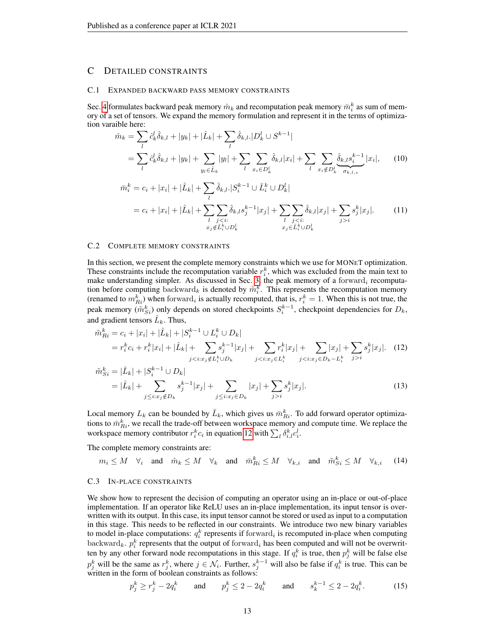### C DETAILED CONSTRAINTS

#### <span id="page-12-0"></span>C.1 EXPANDED BACKWARD PASS MEMORY CONSTRAINTS

Sec. [4](#page-3-0) formulates backward peak memory  $\hat{m}_k$  and recomputation peak memory  $\bar{m}_i^k$  as sum of memory of a set of tensors. We expand the memory formulation and represent it in the terms of optimization varaible here:

$$
\hat{m}_k = \sum_l \hat{c}_k^l \hat{\delta}_{k,l} + |y_k| + |\hat{L}_k| + \sum_l \hat{\delta}_{k,l} \cdot |D_k^l \cup S^{k-1}|
$$
\n
$$
= \sum_l \hat{c}_k^l \hat{\delta}_{k,l} + |y_k| + \sum_{y_l \in \hat{L}_k} |y_l| + \sum_l \sum_{x_i \in D_k^l} \hat{\delta}_{k,l} |x_i| + \sum_l \sum_{x_i \notin D_k^l} \frac{\hat{\delta}_{k,l} s_i^{k-1}}{\sigma_{k,l,s}} |x_i|, \qquad (10)
$$
\n
$$
\bar{m}_i^k = c_i + |x_i| + |\hat{L}_k| + \sum_l \hat{\delta}_{k,l} \cdot |S_i^{k-1} \cup \bar{L}_i^k \cup D_k^l|
$$
\n
$$
= c_i + |x_i| + |\hat{L}_k| + \sum_l \sum_{\substack{j < i; \\ x_j \notin \bar{L}_i^k \cup D_k^l}} \hat{\delta}_{k,l} s_j^{k-1} |x_j| + \sum_{\substack{l \ j < i; \\ x_j \in \bar{L}_i^k \cup D_k^l}} \hat{\delta}_{k,l} |x_j| + \sum_{j > i} s_j^k |x_j|. \qquad (11)
$$

#### C.2 COMPLETE MEMORY CONSTRAINTS

In this section, we present the complete memory constraints which we use for MONET optimization. These constraints include the recomputation variable  $r_i^k$ , which was excluded from the main text to make understanding simpler. As discussed in Sec. [3,](#page-2-5) the peak memory of a forward, recomputation before computing backward<sub>k</sub> is denoted by  $\tilde{m}_i^k$ . This represents the recomputation memory (renamed to  $m_{R_i}^k$ ) when forward<sub>i</sub> is actually recomputed, that is,  $r_i^k = 1$ . When this is not true, the peak memory  $(\tilde{m}_{Si}^k)$  only depends on stored checkpoints  $S_i^{k-1}$ , checkpoint dependencies for  $D_k$ , and gradient tensors  $\hat{L}_k$ . Thus,

$$
\tilde{m}_{Ri}^{k} = c_{i} + |x_{i}| + |\hat{L}_{k}| + |S_{i}^{k-1} \cup L_{i}^{k} \cup D_{k}|
$$
\n
$$
= r_{i}^{k} c_{i} + r_{i}^{k} |x_{i}| + |\hat{L}_{k}| + \sum_{j < i : x_{j} \notin L_{i}^{k} \cup D_{k}} s_{j}^{k-1} |x_{j}| + \sum_{j < i : x_{j} \in L_{i}^{k}} r_{i}^{k} |x_{j}| + \sum_{j < i : x_{j} \in D_{k} - L_{i}^{k}} s_{j}^{k} |x_{j}|.
$$
\n
$$
\tilde{m}_{Si}^{k} = |\hat{L}_{k}| + |S_{i}^{k-1} \cup D_{k}|
$$
\n(12)

<span id="page-12-1"></span>
$$
=|\hat{L}_k| + \sum_{j \le i: x_j \notin D_k} s_j^{k-1} |x_j| + \sum_{j \le i: x_j \in D_k} |x_j| + \sum_{j > i} s_j^k |x_j|.
$$
 (13)

Local memory  $L_k$  can be bounded by  $\bar{L}_k$ , which gives us  $\bar{m}_{R_i}^k$ . To add forward operator optimizations to  $\bar{m}^k_{Ri}$ , we recall the trade-off between workspace memory and compute time. We replace the workspace memory contributor  $r_i^k c_i$  in equation [12](#page-12-1) with  $\sum_l \delta_{i,l}^k c_i^l$ .

The complete memory constraints are:

$$
m_i \leq M \quad \forall_i \quad \text{and} \quad \hat{m}_k \leq M \quad \forall_k \quad \text{and} \quad \bar{m}_{Ri}^k \leq M \quad \forall_{k,i} \quad \text{and} \quad \tilde{m}_{Si}^k \leq M \quad \forall_{k,i} \tag{14}
$$

#### <span id="page-12-2"></span>C.3 IN-PLACE CONSTRAINTS

We show how to represent the decision of computing an operator using an in-place or out-of-place implementation. If an operator like ReLU uses an in-place implementation, its input tensor is overwritten with its output. In this case, its input tensor cannot be stored or used as input to a computation in this stage. This needs to be reflected in our constraints. We introduce two new binary variables to model in-place computations:  $q_i^k$  represents if forward<sub>i</sub> is recomputed in-place when computing backward<sub>k</sub>.  $p_i^k$  represents that the output of forward<sub>i</sub> has been computed and will not be overwritten by any other forward node recomputations in this stage. If  $q_i^k$  is true, then  $p_j^k$  will be false else  $p_j^k$  will be the same as  $r_j^k$ , where  $j \in \mathcal{N}_i$ . Further,  $s_j^{k-1}$  will also be false if  $q_i^k$  is true. This can be written in the form of boolean constraints as follows:

$$
p_j^k \ge r_j^k - 2q_i^k
$$
 and  $p_j^k \le 2 - 2q_i^k$  and  $s_k^{k-1} \le 2 - 2q_i^k$ . (15)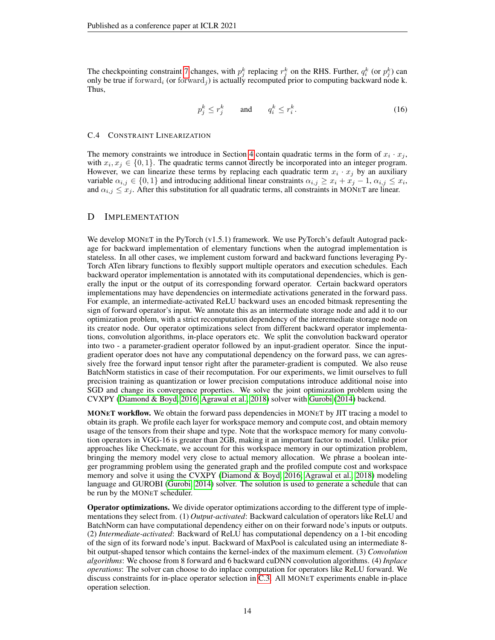The checkpointing constraint [7](#page-5-1) changes, with  $p_j^k$  replacing  $r_j^k$  on the RHS. Further,  $q_i^k$  (or  $p_j^k$ ) can only be true if forward<sub>i</sub> (or forward<sub>i</sub>) is actually recomputed prior to computing backward node k. Thus,

$$
p_j^k \le r_j^k \qquad \text{and} \qquad q_i^k \le r_i^k. \tag{16}
$$

#### <span id="page-13-0"></span>C.4 CONSTRAINT LINEARIZATION

The memory constraints we introduce in Section [4](#page-3-0) contain quadratic terms in the form of  $x_i \cdot x_j$ , with  $x_i, x_j \in \{0, 1\}$ . The quadratic terms cannot directly be incorporated into an integer program. However, we can linearize these terms by replacing each quadratic term  $x_i \cdot x_j$  by an auxiliary variable  $\alpha_{i,j} \in \{0,1\}$  and introducing additional linear constraints  $\alpha_{i,j} \geq x_i + x_j - 1$ ,  $\alpha_{i,j} \leq x_i$ , and  $\alpha_{i,j} \leq x_j$ . After this substitution for all quadratic terms, all constraints in MONET are linear.

#### <span id="page-13-1"></span>D IMPLEMENTATION

We develop MONET in the PyTorch (v1.5.1) framework. We use PyTorch's default Autograd package for backward implementation of elementary functions when the autograd implementation is stateless. In all other cases, we implement custom forward and backward functions leveraging Py-Torch ATen library functions to flexibly support multiple operators and execution schedules. Each backward operator implementation is annotated with its computational dependencies, which is generally the input or the output of its corresponding forward operator. Certain backward operators implementations may have dependencies on intermediate activations generated in the forward pass. For example, an intermediate-activated ReLU backward uses an encoded bitmask representing the sign of forward operator's input. We annotate this as an intermediate storage node and add it to our optimization problem, with a strict recomputation dependency of the interemediate storage node on its creator node. Our operator optimizations select from different backward operator implementations, convolution algorithms, in-place operators etc. We split the convolution backward operator into two - a parameter-gradient operator followed by an input-gradient operator. Since the inputgradient operator does not have any computational dependency on the forward pass, we can agressively free the forward input tensor right after the parameter-gradient is computed. We also reuse BatchNorm statistics in case of their recomputation. For our experiments, we limit ourselves to full precision training as quantization or lower precision computations introduce additional noise into SGD and change its convergence properties. We solve the joint optimization problem using the CVXPY [\(Diamond & Boyd, 2016;](#page-9-18) [Agrawal et al., 2018\)](#page-9-19) solver with [Gurobi](#page-9-16) [\(2014\)](#page-9-16) backend.

MONET workflow. We obtain the forward pass dependencies in MONET by JIT tracing a model to obtain its graph. We profile each layer for workspace memory and compute cost, and obtain memory usage of the tensors from their shape and type. Note that the workspace memory for many convolution operators in VGG-16 is greater than 2GB, making it an important factor to model. Unlike prior approaches like Checkmate, we account for this workspace memory in our optimization problem, bringing the memory model very close to actual memory allocation. We phrase a boolean integer programming problem using the generated graph and the profiled compute cost and workspace memory and solve it using the CVXPY [\(Diamond & Boyd, 2016;](#page-9-18) [Agrawal et al., 2018\)](#page-9-19) modeling language and GUROBI [\(Gurobi, 2014\)](#page-9-16) solver. The solution is used to generate a schedule that can be run by the MONET scheduler.

Operator optimizations. We divide operator optimizations according to the different type of implementations they select from. (1) *Output-activated*: Backward calculation of operators like ReLU and BatchNorm can have computational dependency either on on their forward node's inputs or outputs. (2) *Intermediate-activated*: Backward of ReLU has computational dependency on a 1-bit encoding of the sign of its forward node's input. Backward of MaxPool is calculated using an intermediate 8 bit output-shaped tensor which contains the kernel-index of the maximum element. (3) *Convolution algorithms*: We choose from 8 forward and 6 backward cuDNN convolution algorithms. (4) *Inplace operations*: The solver can choose to do inplace computation for operators like ReLU forward. We discuss constraints for in-place operator selection in [C.3.](#page-12-2) All MONET experiments enable in-place operation selection.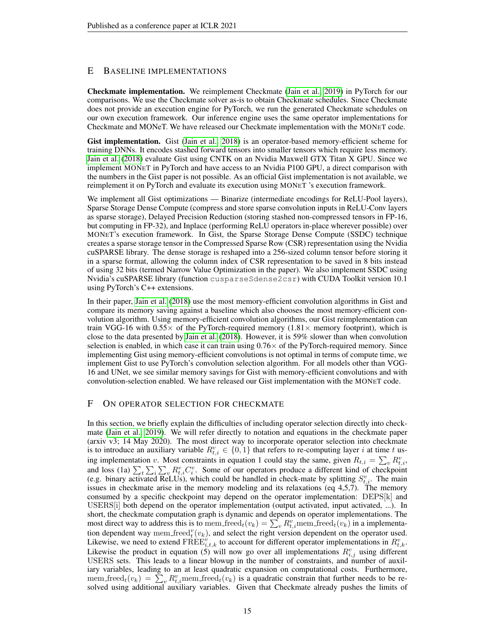# <span id="page-14-1"></span>E BASELINE IMPLEMENTATIONS

Checkmate implementation. We reimplement Checkmate [\(Jain et al., 2019\)](#page-9-14) in PyTorch for our comparisons. We use the Checkmate solver as-is to obtain Checkmate schedules. Since Checkmate does not provide an execution engine for PyTorch, we run the generated Checkmate schedules on our own execution framework. Our inference engine uses the same operator implementations for Checkmate and MONeT. We have released our Checkmate implementation with the MONET code.

Gist implementation. Gist [\(Jain et al., 2018\)](#page-9-8) is an operator-based memory-efficient scheme for training DNNs. It encodes stashed forward tensors into smaller tensors which require less memory. [Jain et al.](#page-9-8) [\(2018\)](#page-9-8) evaluate Gist using CNTK on an Nvidia Maxwell GTX Titan X GPU. Since we implement MONET in PyTorch and have access to an Nvidia P100 GPU, a direct comparison with the numbers in the Gist paper is not possible. As an official Gist implementation is not available, we reimplement it on PyTorch and evaluate its execution using MONET 's execution framework.

We implement all Gist optimizations — Binarize (intermediate encodings for ReLU-Pool layers), Sparse Storage Dense Compute (compress and store sparse convolution inputs in ReLU-Conv layers as sparse storage), Delayed Precision Reduction (storing stashed non-compressed tensors in FP-16, but computing in FP-32), and Inplace (performing ReLU operators in-place wherever possible) over MONET's execution framework. In Gist, the Sparse Storage Dense Compute (SSDC) technique creates a sparse storage tensor in the Compressed Sparse Row (CSR) representation using the Nvidia cuSPARSE library. The dense storage is reshaped into a 256-sized column tensor before storing it in a sparse format, allowing the column index of CSR representation to be saved in 8 bits instead of using 32 bits (termed Narrow Value Optimization in the paper). We also implement SSDC using Nvidia's cuSPARSE library (function cusparseSdense2csr) with CUDA Toolkit version 10.1 using PyTorch's C++ extensions.

In their paper, [Jain et al.](#page-9-8) [\(2018\)](#page-9-8) use the most memory-efficient convolution algorithms in Gist and compare its memory saving against a baseline which also chooses the most memory-efficient convolution algorithm. Using memory-efficient convolution algorithms, our Gist reimplementation can train VGG-16 with  $0.55 \times$  of the PyTorch-required memory (1.81  $\times$  memory footprint), which is close to the data presented by [Jain et al.](#page-9-8) [\(2018\)](#page-9-8). However, it is 59% slower than when convolution selection is enabled, in which case it can train using  $0.76 \times$  of the PyTorch-required memory. Since implementing Gist using memory-efficient convolutions is not optimal in terms of compute time, we implement Gist to use PyTorch's convolution selection algorithm. For all models other than VGG-16 and UNet, we see similar memory savings for Gist with memory-efficient convolutions and with convolution-selection enabled. We have released our Gist implementation with the MONET code.

## <span id="page-14-0"></span>F ON OPERATOR SELECTION FOR CHECKMATE

In this section, we briefly explain the difficulties of including operator selection directly into checkmate [\(Jain et al., 2019\)](#page-9-14). We will refer directly to notation and equations in the checkmate paper (arxiv v3; 14 May 2020). The most direct way to incorporate operator selection into checkmate is to introduce an auxiliary variable  $R_{t,i}^v \in \{0,1\}$  that refers to re-computing layer i at time t using implementation v. Most constraints in equation 1 could stay the same, given  $R_{t,i} = \sum_{v} R_{t,i}^{v}$ , and loss (1a)  $\sum_{t} \sum_{i} P_{t,i}^{v} C_i^{v}$ . Some of our operators produce a different kind of checkpoint (e.g. binary activated ReLUs), which could be handled in check-mate by splitting  $S_{t,i}^v$ . The main issues in checkmate arise in the memory modeling and its relaxations (eq 4,5,7). The memory consumed by a specific checkpoint may depend on the operator implementation: DEPS[k] and USERS[i] both depend on the operator implementation (output activated, input activated, ...). In short, the checkmate computation graph is dynamic and depends on operator implementations. The most direct way to address this is to mem freed $_t(v_k) = \sum_{v} R_{t,i}^v$  mem freed $_t(v_k)$  in a implementation dependent way mem freed $v(t_k)$ , and select the right version dependent on the operator used. Likewise, we need to extend  $\widehat{\text{FREE}}_{i,t,k}^v$  to account for different operator implementations in  $R_{t,k}^v$ . Likewise the product in equation (5) will now go over all implementations  $R_{i,j}^v$  using different USERS sets. This leads to a linear blowup in the number of constraints, and number of auxiliary variables, leading to an at least quadratic expansion on computational costs. Furthermore, mem freed $t(v_k) = \sum_{v} R_{t,i}^v$ mem freed $t(v_k)$  is a quadratic constrain that further needs to be resolved using additional auxiliary variables. Given that Checkmate already pushes the limits of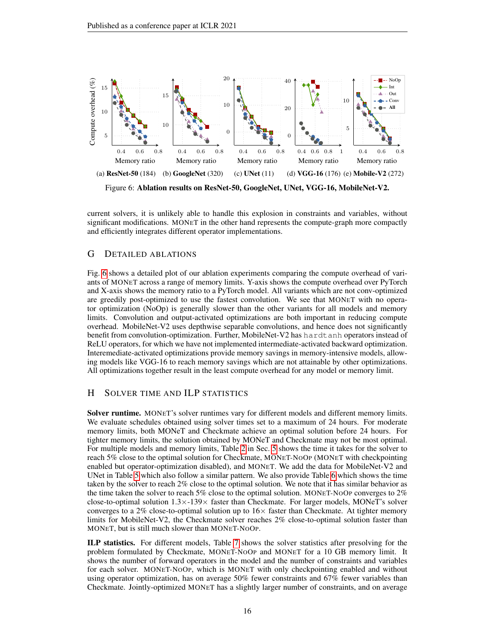<span id="page-15-2"></span>

current solvers, it is unlikely able to handle this explosion in constraints and variables, without significant modifications. MONET in the other hand represents the compute-graph more compactly and efficiently integrates different operator implementations.

# <span id="page-15-1"></span>G DETAILED ABLATIONS

Fig. [6](#page-15-2) shows a detailed plot of our ablation experiments comparing the compute overhead of variants of MONET across a range of memory limits. Y-axis shows the compute overhead over PyTorch and X-axis shows the memory ratio to a PyTorch model. All variants which are not conv-optimized are greedily post-optimized to use the fastest convolution. We see that MONET with no operator optimization (NoOp) is generally slower than the other variants for all models and memory limits. Convolution and output-activated optimizations are both important in reducing compute overhead. MobileNet-V2 uses depthwise separable convolutions, and hence does not significantly benefit from convolution-optimization. Further, MobileNet-V2 has hardtanh operators instead of ReLU operators, for which we have not implemented intermediate-activated backward optimization. Interemediate-activated optimizations provide memory savings in memory-intensive models, allowing models like VGG-16 to reach memory savings which are not attainable by other optimizations. All optimizations together result in the least compute overhead for any model or memory limit.

# <span id="page-15-0"></span>H SOLVER TIME AND ILP STATISTICS

Solver runtime. MONET's solver runtimes vary for different models and different memory limits. We evaluate schedules obtained using solver times set to a maximum of 24 hours. For moderate memory limits, both MONeT and Checkmate achieve an optimal solution before 24 hours. For tighter memory limits, the solution obtained by MONeT and Checkmate may not be most optimal. For multiple models and memory limits, Table [2](#page-6-1) in Sec. [5](#page-5-4) shows the time it takes for the solver to reach 5% close to the optimal solution for Checkmate, MONET-NOOP (MONET with checkpointing enabled but operator-optimization disabled), and MONET. We add the data for MobileNet-V2 and UNet in Table [5](#page-16-0) which also follow a similar pattern. We also provide Table [6](#page-16-1) which shows the time taken by the solver to reach 2% close to the optimal solution. We note that it has similar behavior as the time taken the solver to reach 5% close to the optimal solution. MONET-NOOP converges to 2% close-to-optimal solution 1.3×-139× faster than Checkmate. For larger models, MONeT's solver converges to a 2% close-to-optimal solution up to  $16\times$  faster than Checkmate. At tighter memory limits for MobileNet-V2, the Checkmate solver reaches 2% close-to-optimal solution faster than MONET, but is still much slower than MONET-NOOP.

ILP statistics. For different models, Table [7](#page-17-2) shows the solver statistics after presolving for the problem formulated by Checkmate, MONET-NOOP and MONET for a 10 GB memory limit. It shows the number of forward operators in the model and the number of constraints and variables for each solver. MONET-NOOP, which is MONET with only checkpointing enabled and without using operator optimization, has on average 50% fewer constraints and 67% fewer variables than Checkmate. Jointly-optimized MONET has a slightly larger number of constraints, and on average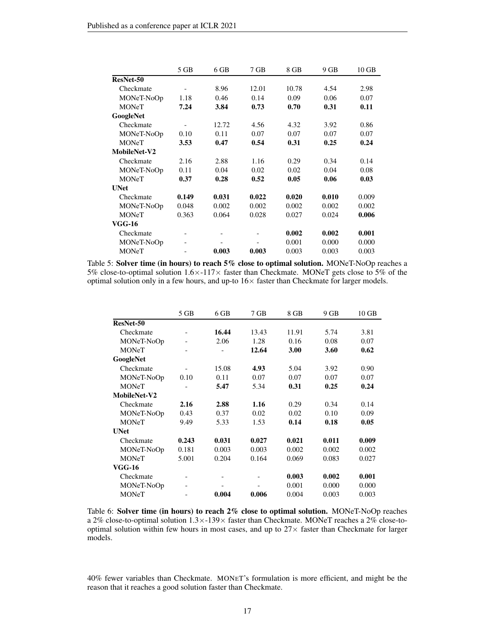<span id="page-16-0"></span>

|               | 5 GB                         | 6 GB  | 7 GB  | 8 GB  | 9 GB  | $10$ GB |
|---------------|------------------------------|-------|-------|-------|-------|---------|
| ResNet-50     |                              |       |       |       |       |         |
| Checkmate     |                              | 8.96  | 12.01 | 10.78 | 4.54  | 2.98    |
| MONeT-NoOp    | 1.18                         | 0.46  | 0.14  | 0.09  | 0.06  | 0.07    |
| <b>MONeT</b>  | 7.24                         | 3.84  | 0.73  | 0.70  | 0.31  | 0.11    |
| GoogleNet     |                              |       |       |       |       |         |
| Checkmate     |                              | 12.72 | 4.56  | 4.32  | 3.92  | 0.86    |
| MONeT-NoOp    | 0.10                         | 0.11  | 0.07  | 0.07  | 0.07  | 0.07    |
| <b>MONeT</b>  | 3.53                         | 0.47  | 0.54  | 0.31  | 0.25  | 0.24    |
| MobileNet-V2  |                              |       |       |       |       |         |
| Checkmate     | 2.16                         | 2.88  | 1.16  | 0.29  | 0.34  | 0.14    |
| MONeT-NoOp    | 0.11                         | 0.04  | 0.02  | 0.02  | 0.04  | 0.08    |
| <b>MONeT</b>  | 0.37                         | 0.28  | 0.52  | 0.05  | 0.06  | 0.03    |
| <b>UNet</b>   |                              |       |       |       |       |         |
| Checkmate     | 0.149                        | 0.031 | 0.022 | 0.020 | 0.010 | 0.009   |
| MONeT-NoOp    | 0.048                        | 0.002 | 0.002 | 0.002 | 0.002 | 0.002   |
| <b>MONeT</b>  | 0.363                        | 0.064 | 0.028 | 0.027 | 0.024 | 0.006   |
| <b>VGG-16</b> |                              |       |       |       |       |         |
| Checkmate     | $\qquad \qquad \blacksquare$ |       |       | 0.002 | 0.002 | 0.001   |
| MONeT-NoOp    | -                            |       |       | 0.001 | 0.000 | 0.000   |
| <b>MONeT</b>  |                              | 0.003 | 0.003 | 0.003 | 0.003 | 0.003   |

Table 5: Solver time (in hours) to reach 5% close to optimal solution. MONeT-NoOp reaches a 5% close-to-optimal solution  $1.6 \times -117 \times$  faster than Checkmate. MONeT gets close to 5% of the optimal solution only in a few hours, and up-to  $16\times$  faster than Checkmate for larger models.

<span id="page-16-1"></span>

|               | 5 GB                         | 6 GB  | $7$ GB | 8 GB  | 9 GB  | $10$ GB |
|---------------|------------------------------|-------|--------|-------|-------|---------|
| ResNet-50     |                              |       |        |       |       |         |
| Checkmate     |                              | 16.44 | 13.43  | 11.91 | 5.74  | 3.81    |
| MONeT-NoOp    |                              | 2.06  | 1.28   | 0.16  | 0.08  | 0.07    |
| <b>MONeT</b>  |                              |       | 12.64  | 3.00  | 3.60  | 0.62    |
| GoogleNet     |                              |       |        |       |       |         |
| Checkmate     |                              | 15.08 | 4.93   | 5.04  | 3.92  | 0.90    |
| MONeT-NoOp    | 0.10                         | 0.11  | 0.07   | 0.07  | 0.07  | 0.07    |
| <b>MONeT</b>  |                              | 5.47  | 5.34   | 0.31  | 0.25  | 0.24    |
| MobileNet-V2  |                              |       |        |       |       |         |
| Checkmate     | 2.16                         | 2.88  | 1.16   | 0.29  | 0.34  | 0.14    |
| MONeT-NoOp    | 0.43                         | 0.37  | 0.02   | 0.02  | 0.10  | 0.09    |
| <b>MONeT</b>  | 9.49                         | 5.33  | 1.53   | 0.14  | 0.18  | 0.05    |
| <b>UNet</b>   |                              |       |        |       |       |         |
| Checkmate     | 0.243                        | 0.031 | 0.027  | 0.021 | 0.011 | 0.009   |
| MONeT-NoOp    | 0.181                        | 0.003 | 0.003  | 0.002 | 0.002 | 0.002   |
| <b>MONeT</b>  | 5.001                        | 0.204 | 0.164  | 0.069 | 0.083 | 0.027   |
| <b>VGG-16</b> |                              |       |        |       |       |         |
| Checkmate     | $\qquad \qquad \blacksquare$ |       |        | 0.003 | 0.002 | 0.001   |
| MONeT-NoOp    |                              |       |        | 0.001 | 0.000 | 0.000   |
| <b>MONeT</b>  |                              | 0.004 | 0.006  | 0.004 | 0.003 | 0.003   |

Table 6: Solver time (in hours) to reach 2% close to optimal solution. MONeT-NoOp reaches a 2% close-to-optimal solution  $1.3 \times 139 \times$  faster than Checkmate. MONeT reaches a 2% close-tooptimal solution within few hours in most cases, and up to  $27\times$  faster than Checkmate for larger models.

40% fewer variables than Checkmate. MONET's formulation is more efficient, and might be the reason that it reaches a good solution faster than Checkmate.